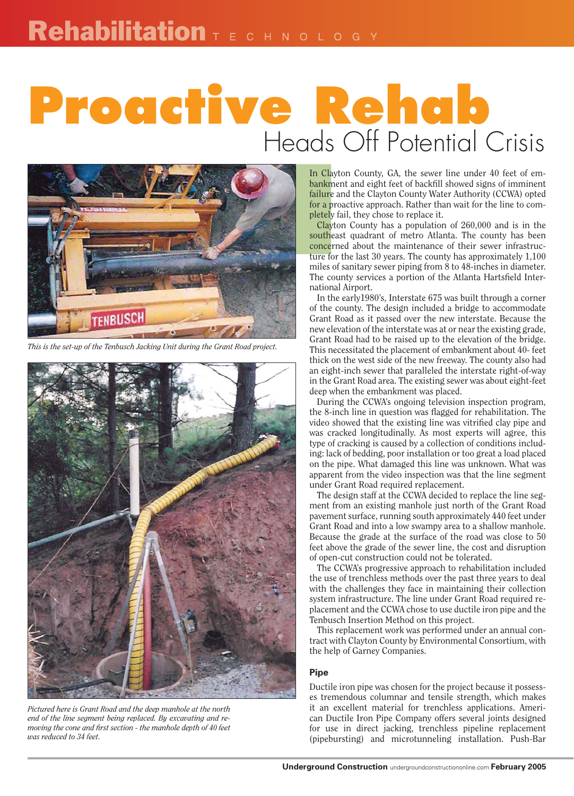## **Proactive Rehab** Heads Off Potential Crisis



*This is the set-up of the Tenbusch Jacking Unit during the Grant Road project.*



*Pictured here is Grant Road and the deep manhole at the north end of the line segment being replaced. By excavating and re*moving the cone and first section - the manhole depth of 40 feet *was reduced to 34 feet.*

In Clayton County, GA, the sewer line under 40 feet of embankment and eight feet of backfill showed signs of imminent failure and the Clayton County Water Authority (CCWA) opted for a proactive approach. Rather than wait for the line to completely fail, they chose to replace it.

In Clay<br>
bankme<br>
failure<br>
for a pr<br>
pletely<br>
clayte<br>
southez<br>
concerr<br>
ture for<br>
The cou Clayton County has a population of 260,000 and is in the southeast quadrant of metro Atlanta. The county has been concerned about the maintenance of their sewer infrastructure for the last 30 years. The county has approximately 1,100 miles of sanitary sewer piping from 8 to 48-inches in diameter. The county services a portion of the Atlanta Hartsfield International Airport.

In the early1980's, Interstate 675 was built through a corner of the county. The design included a bridge to accommodate Grant Road as it passed over the new interstate. Because the new elevation of the interstate was at or near the existing grade, Grant Road had to be raised up to the elevation of the bridge. This necessitated the placement of embankment about 40- feet thick on the west side of the new freeway. The county also had an eight-inch sewer that paralleled the interstate right-of-way in the Grant Road area. The existing sewer was about eight-feet deep when the embankment was placed.

During the CCWA's ongoing television inspection program, the 8-inch line in question was flagged for rehabilitation. The video showed that the existing line was vitrified clay pipe and was cracked longitudinally. As most experts will agree, this type of cracking is caused by a collection of conditions including: lack of bedding, poor installation or too great a load placed on the pipe. What damaged this line was unknown. What was apparent from the video inspection was that the line segment under Grant Road required replacement.

The design staff at the CCWA decided to replace the line segment from an existing manhole just north of the Grant Road pavement surface, running south approximately 440 feet under Grant Road and into a low swampy area to a shallow manhole. Because the grade at the surface of the road was close to 50 feet above the grade of the sewer line, the cost and disruption of open-cut construction could not be tolerated.

The CCWA's progressive approach to rehabilitation included the use of trenchless methods over the past three years to deal with the challenges they face in maintaining their collection system infrastructure. The line under Grant Road required replacement and the CCWA chose to use ductile iron pipe and the Tenbusch Insertion Method on this project.

This replacement work was performed under an annual contract with Clayton County by Environmental Consortium, with the help of Garney Companies.

## **Pipe**

Ductile iron pipe was chosen for the project because it possesses tremendous columnar and tensile strength, which makes it an excellent material for trenchless applications. American Ductile Iron Pipe Company offers several joints designed for use in direct jacking, trenchless pipeline replacement (pipebursting) and microtunneling installation. Push-Bar